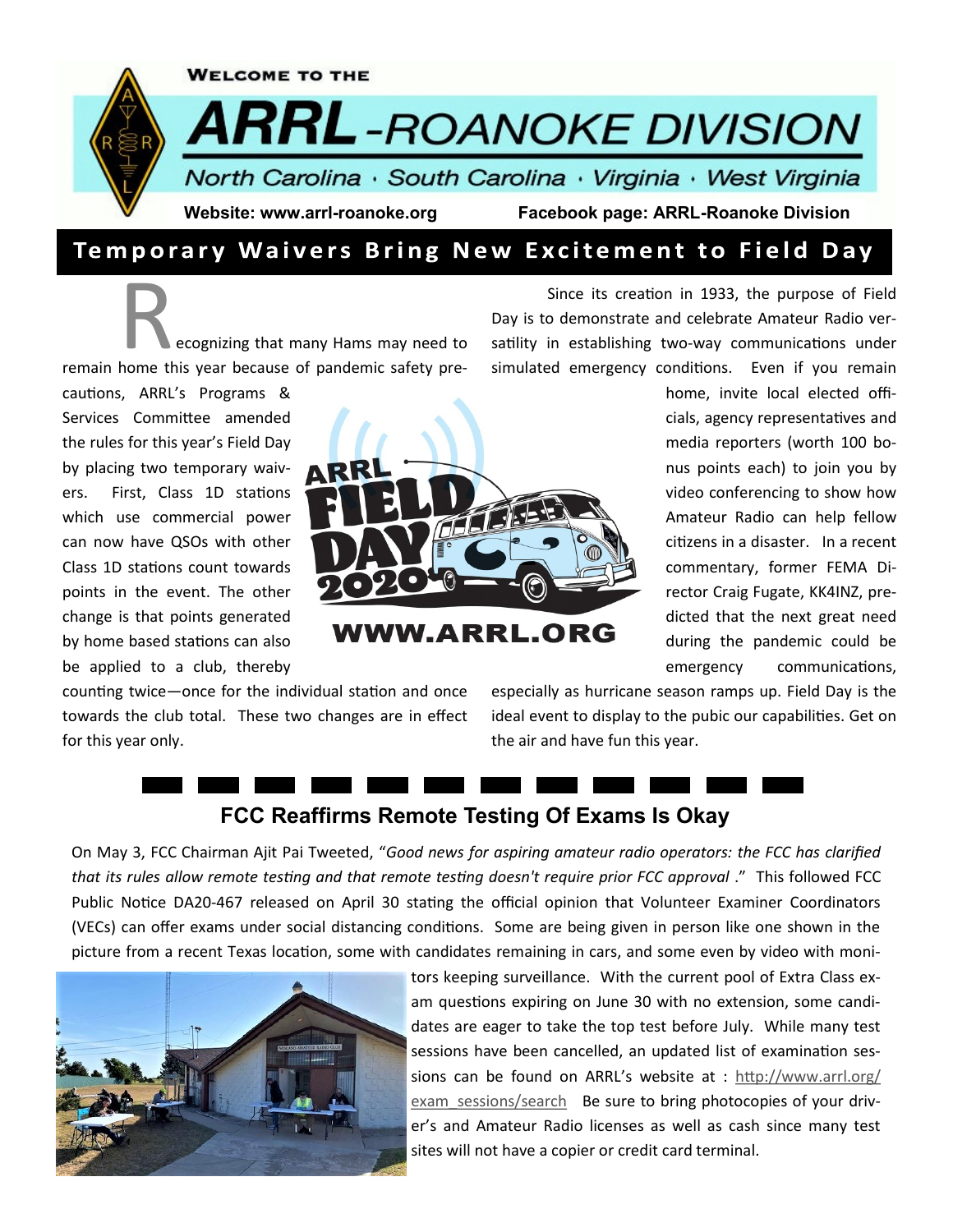

## Temporary Waivers Bring New Excitement to Field Day

**Recognizing that many Hams may need to remain home this year because of pandemic safety pre-**

cautions, ARRL's Programs & Services Committee amended the rules for this year's Field Day by placing two temporary waivers. First, Class 1D stations which use commercial power can now have QSOs with other Class 1D stations count towards points in the event. The other change is that points generated by home based stations can also be applied to a club, thereby



**VWW.ARRL.ORG** 

Since its creation in 1933, the purpose of Field Day is to demonstrate and celebrate Amateur Radio versatility in establishing two-way communications under simulated emergency conditions. Even if you remain

> home, invite local elected officials, agency representatives and media reporters (worth 100 bonus points each) to join you by video conferencing to show how Amateur Radio can help fellow citizens in a disaster. In a recent commentary, former FEMA Director Craig Fugate, KK4INZ, predicted that the next great need during the pandemic could be emergency communications,

counting twice—once for the individual station and once towards the club total. These two changes are in effect for this year only.

especially as hurricane season ramps up. Field Day is the ideal event to display to the pubic our capabilities. Get on the air and have fun this year.

# **FCC Reaffirms Remote Testing Of Exams Is Okay**

On May 3, FCC Chairman Ajit Pai Tweeted, "*Good news for aspiring amateur radio operators: the FCC has clarified that its rules allow remote testing and that remote testing doesn't require prior FCC approval* ." This followed FCC Public Notice DA20-467 released on April 30 stating the official opinion that Volunteer Examiner Coordinators (VECs) can offer exams under social distancing conditions. Some are being given in person like one shown in the picture from a recent Texas location, some with candidates remaining in cars, and some even by video with moni-



tors keeping surveillance. With the current pool of Extra Class exam questions expiring on June 30 with no extension, some candidates are eager to take the top test before July. While many test sessions have been cancelled, an updated list of examination sessions can be found on ARRL's website at : [http://www.arrl.org/](http://www.arrl.org/exam_sessions/search) exam sessions/search Be sure to bring photocopies of your driver's and Amateur Radio licenses as well as cash since many test sites will not have a copier or credit card terminal.